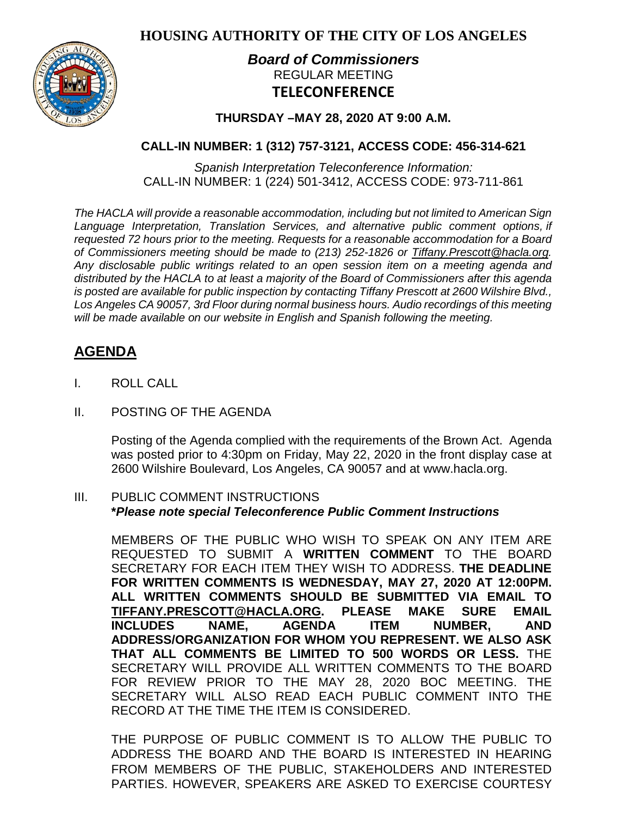**HOUSING AUTHORITY OF THE CITY OF LOS ANGELES**



# *Board of Commissioners* REGULAR MEETING **TELECONFERENCE**

## **THURSDAY –MAY 28, 2020 AT 9:00 A.M.**

# **CALL-IN NUMBER: 1 (312) 757-3121, ACCESS CODE: 456-314-621**

*Spanish Interpretation Teleconference Information:* CALL-IN NUMBER: 1 (224) 501-3412, ACCESS CODE: 973-711-861

*The HACLA will provide a reasonable accommodation, including but not limited to American Sign Language Interpretation, Translation Services, and alternative public comment options, if requested 72 hours prior to the meeting. Requests for a reasonable accommodation for a Board of Commissioners meeting should be made to (213) 252-1826 or Tiffany.Prescott@hacla.org. Any disclosable public writings related to an open session item on a meeting agenda and distributed by the HACLA to at least a majority of the Board of Commissioners after this agenda is posted are available for public inspection by contacting Tiffany Prescott at 2600 Wilshire Blvd., Los Angeles CA 90057, 3rd Floor during normal business hours. Audio recordings of this meeting will be made available on our website in English and Spanish following the meeting.*

# **AGENDA**

- I. ROLL CALL
- II. POSTING OF THE AGENDA

Posting of the Agenda complied with the requirements of the Brown Act. Agenda was posted prior to 4:30pm on Friday, May 22, 2020 in the front display case at 2600 Wilshire Boulevard, Los Angeles, CA 90057 and at [www.hacla.org.](http://www.hacla.org/)

#### III. PUBLIC COMMENT INSTRUCTIONS **\****Please note special Teleconference Public Comment Instructions*

MEMBERS OF THE PUBLIC WHO WISH TO SPEAK ON ANY ITEM ARE REQUESTED TO SUBMIT A **WRITTEN COMMENT** TO THE BOARD SECRETARY FOR EACH ITEM THEY WISH TO ADDRESS. **THE DEADLINE FOR WRITTEN COMMENTS IS WEDNESDAY, MAY 27, 2020 AT 12:00PM. ALL WRITTEN COMMENTS SHOULD BE SUBMITTED VIA EMAIL TO [TIFFANY.PRESCOTT@HACLA.ORG.](mailto:TIFFANY.PRESCOTT@HACLA.ORG) PLEASE MAKE SURE EMAIL INCLUDES NAME, AGENDA ITEM NUMBER, AND ADDRESS/ORGANIZATION FOR WHOM YOU REPRESENT. WE ALSO ASK THAT ALL COMMENTS BE LIMITED TO 500 WORDS OR LESS.** THE SECRETARY WILL PROVIDE ALL WRITTEN COMMENTS TO THE BOARD FOR REVIEW PRIOR TO THE MAY 28, 2020 BOC MEETING. THE SECRETARY WILL ALSO READ EACH PUBLIC COMMENT INTO THE RECORD AT THE TIME THE ITEM IS CONSIDERED.

THE PURPOSE OF PUBLIC COMMENT IS TO ALLOW THE PUBLIC TO ADDRESS THE BOARD AND THE BOARD IS INTERESTED IN HEARING FROM MEMBERS OF THE PUBLIC, STAKEHOLDERS AND INTERESTED PARTIES. HOWEVER, SPEAKERS ARE ASKED TO EXERCISE COURTESY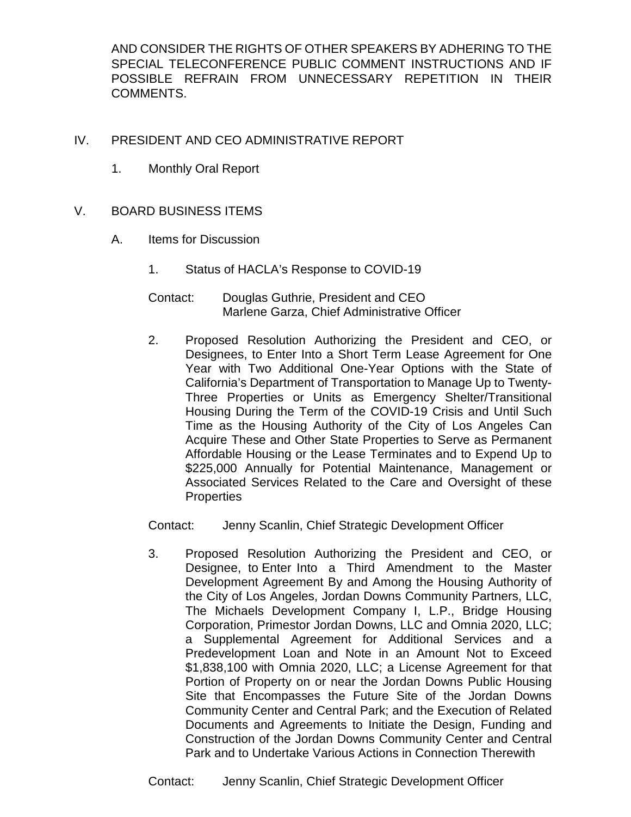AND CONSIDER THE RIGHTS OF OTHER SPEAKERS BY ADHERING TO THE SPECIAL TELECONFERENCE PUBLIC COMMENT INSTRUCTIONS AND IF POSSIBLE REFRAIN FROM UNNECESSARY REPETITION IN THEIR COMMENTS.

## IV. PRESIDENT AND CEO ADMINISTRATIVE REPORT

1. Monthly Oral Report

## V. BOARD BUSINESS ITEMS

- A. Items for Discussion
	- 1. Status of HACLA's Response to COVID-19
	- Contact: Douglas Guthrie, President and CEO Marlene Garza, Chief Administrative Officer
	- 2. Proposed Resolution Authorizing the President and CEO, or Designees, to Enter Into a Short Term Lease Agreement for One Year with Two Additional One-Year Options with the State of California's Department of Transportation to Manage Up to Twenty-Three Properties or Units as Emergency Shelter/Transitional Housing During the Term of the COVID-19 Crisis and Until Such Time as the Housing Authority of the City of Los Angeles Can Acquire These and Other State Properties to Serve as Permanent Affordable Housing or the Lease Terminates and to Expend Up to \$225,000 Annually for Potential Maintenance, Management or Associated Services Related to the Care and Oversight of these **Properties**

Contact: Jenny Scanlin, Chief Strategic Development Officer

3. Proposed Resolution Authorizing the President and CEO, or Designee, to Enter Into a Third Amendment to the Master Development Agreement By and Among the Housing Authority of the City of Los Angeles, Jordan Downs Community Partners, LLC, The Michaels Development Company I, L.P., Bridge Housing Corporation, Primestor Jordan Downs, LLC and Omnia 2020, LLC; a Supplemental Agreement for Additional Services and a Predevelopment Loan and Note in an Amount Not to Exceed \$1,838,100 with Omnia 2020, LLC; a License Agreement for that Portion of Property on or near the Jordan Downs Public Housing Site that Encompasses the Future Site of the Jordan Downs Community Center and Central Park; and the Execution of Related Documents and Agreements to Initiate the Design, Funding and Construction of the Jordan Downs Community Center and Central Park and to Undertake Various Actions in Connection Therewith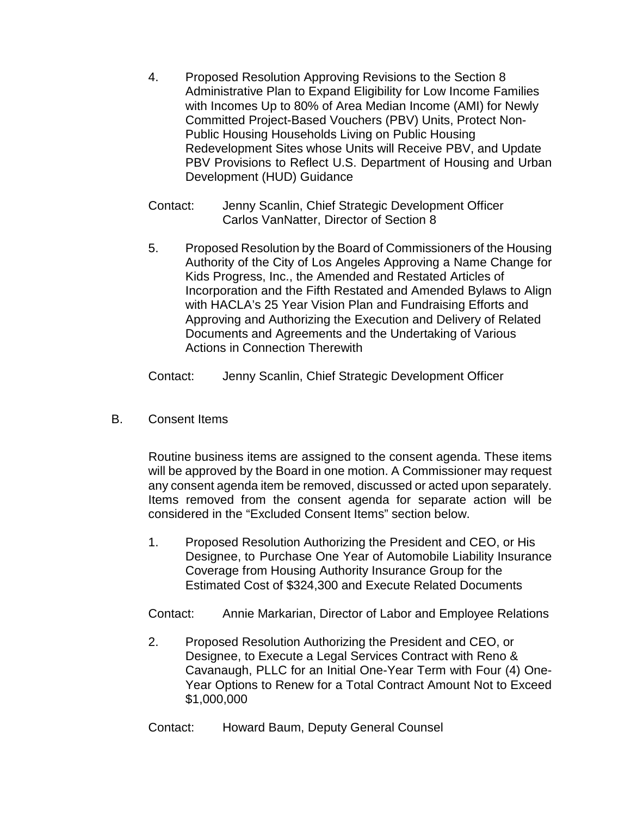- 4. Proposed Resolution Approving Revisions to the Section 8 Administrative Plan to Expand Eligibility for Low Income Families with Incomes Up to 80% of Area Median Income (AMI) for Newly Committed Project-Based Vouchers (PBV) Units, Protect Non-Public Housing Households Living on Public Housing Redevelopment Sites whose Units will Receive PBV, and Update PBV Provisions to Reflect U.S. Department of Housing and Urban Development (HUD) Guidance
- Contact: Jenny Scanlin, Chief Strategic Development Officer Carlos VanNatter, Director of Section 8
- 5. Proposed Resolution by the Board of Commissioners of the Housing Authority of the City of Los Angeles Approving a Name Change for Kids Progress, Inc., the Amended and Restated Articles of Incorporation and the Fifth Restated and Amended Bylaws to Align with HACLA's 25 Year Vision Plan and Fundraising Efforts and Approving and Authorizing the Execution and Delivery of Related Documents and Agreements and the Undertaking of Various Actions in Connection Therewith

Contact: Jenny Scanlin, Chief Strategic Development Officer

B. Consent Items

Routine business items are assigned to the consent agenda. These items will be approved by the Board in one motion. A Commissioner may request any consent agenda item be removed, discussed or acted upon separately. Items removed from the consent agenda for separate action will be considered in the "Excluded Consent Items" section below.

1. Proposed Resolution Authorizing the President and CEO, or His Designee, to Purchase One Year of Automobile Liability Insurance Coverage from Housing Authority Insurance Group for the Estimated Cost of \$324,300 and Execute Related Documents

Contact: Annie Markarian, Director of Labor and Employee Relations

2. Proposed Resolution Authorizing the President and CEO, or Designee, to Execute a Legal Services Contract with Reno & Cavanaugh, PLLC for an Initial One-Year Term with Four (4) One-Year Options to Renew for a Total Contract Amount Not to Exceed \$1,000,000

Contact: Howard Baum, Deputy General Counsel